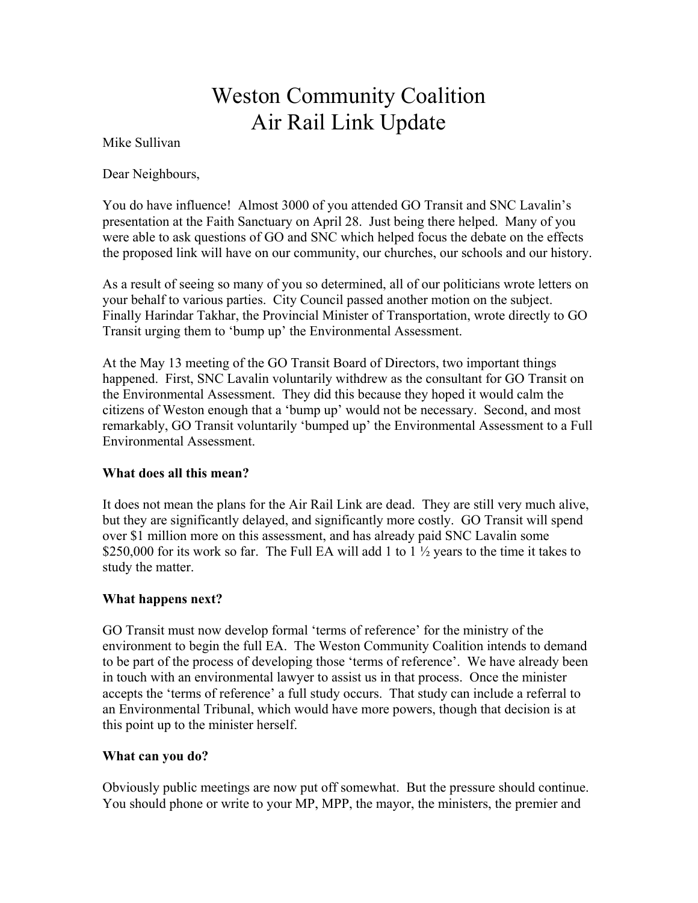## Weston Community Coalition Air Rail Link Update

Mike Sullivan

Dear Neighbours,

You do have influence! Almost 3000 of you attended GO Transit and SNC Lavalin's presentation at the Faith Sanctuary on April 28. Just being there helped. Many of you were able to ask questions of GO and SNC which helped focus the debate on the effects the proposed link will have on our community, our churches, our schools and our history.

As a result of seeing so many of you so determined, all of our politicians wrote letters on your behalf to various parties. City Council passed another motion on the subject. Finally Harindar Takhar, the Provincial Minister of Transportation, wrote directly to GO Transit urging them to 'bump up' the Environmental Assessment.

At the May 13 meeting of the GO Transit Board of Directors, two important things happened. First, SNC Lavalin voluntarily withdrew as the consultant for GO Transit on the Environmental Assessment. They did this because they hoped it would calm the citizens of Weston enough that a 'bump up' would not be necessary. Second, and most remarkably, GO Transit voluntarily 'bumped up' the Environmental Assessment to a Full Environmental Assessment.

## **What does all this mean?**

It does not mean the plans for the Air Rail Link are dead. They are still very much alive, but they are significantly delayed, and significantly more costly. GO Transit will spend over \$1 million more on this assessment, and has already paid SNC Lavalin some \$250,000 for its work so far. The Full EA will add 1 to  $1\frac{1}{2}$  years to the time it takes to study the matter.

## **What happens next?**

GO Transit must now develop formal 'terms of reference' for the ministry of the environment to begin the full EA. The Weston Community Coalition intends to demand to be part of the process of developing those 'terms of reference'. We have already been in touch with an environmental lawyer to assist us in that process. Once the minister accepts the 'terms of reference' a full study occurs. That study can include a referral to an Environmental Tribunal, which would have more powers, though that decision is at this point up to the minister herself.

## **What can you do?**

Obviously public meetings are now put off somewhat. But the pressure should continue. You should phone or write to your MP, MPP, the mayor, the ministers, the premier and